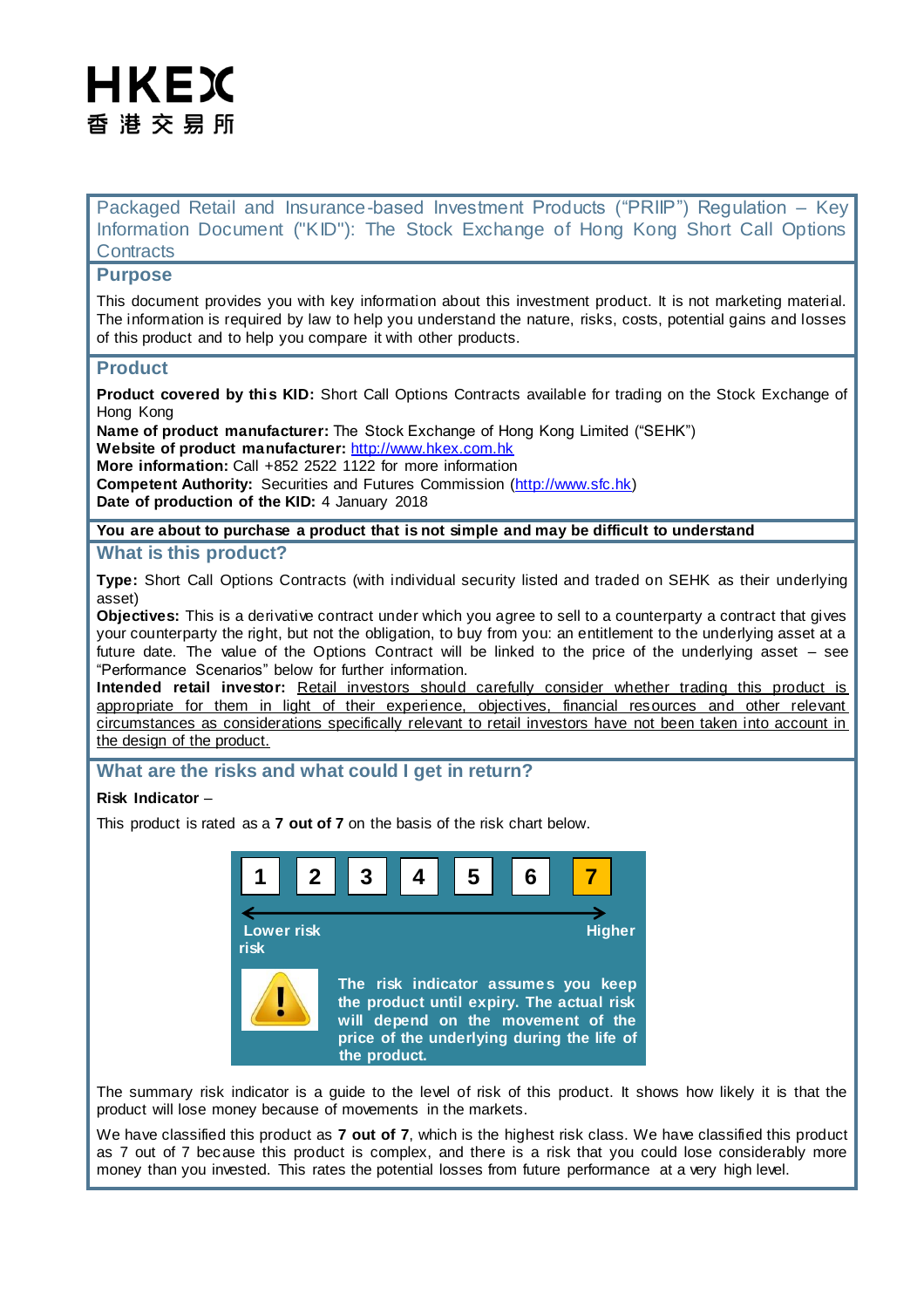# HKEX 香 港 交 易 所

Packaged Retail and Insurance-based Investment Products ("PRIIP") Regulation – Key Information Document ("KID"): The Stock Exchange of Hong Kong Short Call Options **Contracts** 

### **Purpose**

This document provides you with key information about this investment product. It is not marketing material. The information is required by law to help you understand the nature, risks, costs, potential gains and losses of this product and to help you compare it with other products.

### **Product**

**Product covered by this KID:** Short Call Options Contracts available for trading on the Stock Exchange of Hong Kong

**Name of product manufacturer:** The Stock Exchange of Hong Kong Limited ("SEHK") **Website of product manufacturer:** [http://www.hkex.com.hk](http://www.hkex.com.hk/) **More information:** Call +852 2522 1122 for more information **Competent Authority:** Securities and Futures Commission [\(http://www.sfc.hk\)](http://www.sfc.hk/)

**Date of production of the KID:** 4 January 2018

# **You are about to purchase a product that is not simple and may be difficult to understand**

# **What is this product?**

**Type:** Short Call Options Contracts (with individual security listed and traded on SEHK as their underlying asset)

**Objectives:** This is a derivative contract under which you agree to sell to a counterparty a contract that gives your counterparty the right, but not the obligation, to buy from you: an entitlement to the underlying asset at a future date. The value of the Options Contract will be linked to the price of the underlying asset – see "Performance Scenarios" below for further information.

**Intended retail investor:** Retail investors should carefully consider whether trading this product is appropriate for them in light of their experience, objectives, financial resources and other relevant circumstances as considerations specifically relevant to retail investors have not been taken into account in the design of the product.

# **What are the risks and what could I get in return?**

### **Risk Indicator** –

This product is rated as a **7 out of 7** on the basis of the risk chart below.



The summary risk indicator is a guide to the level of risk of this product. It shows how likely it is that the product will lose money because of movements in the markets.

We have classified this product as **7 out of 7**, which is the highest risk class. We have classified this product as 7 out of 7 because this product is complex, and there is a risk that you could lose considerably more money than you invested. This rates the potential losses from future performance at a very high level.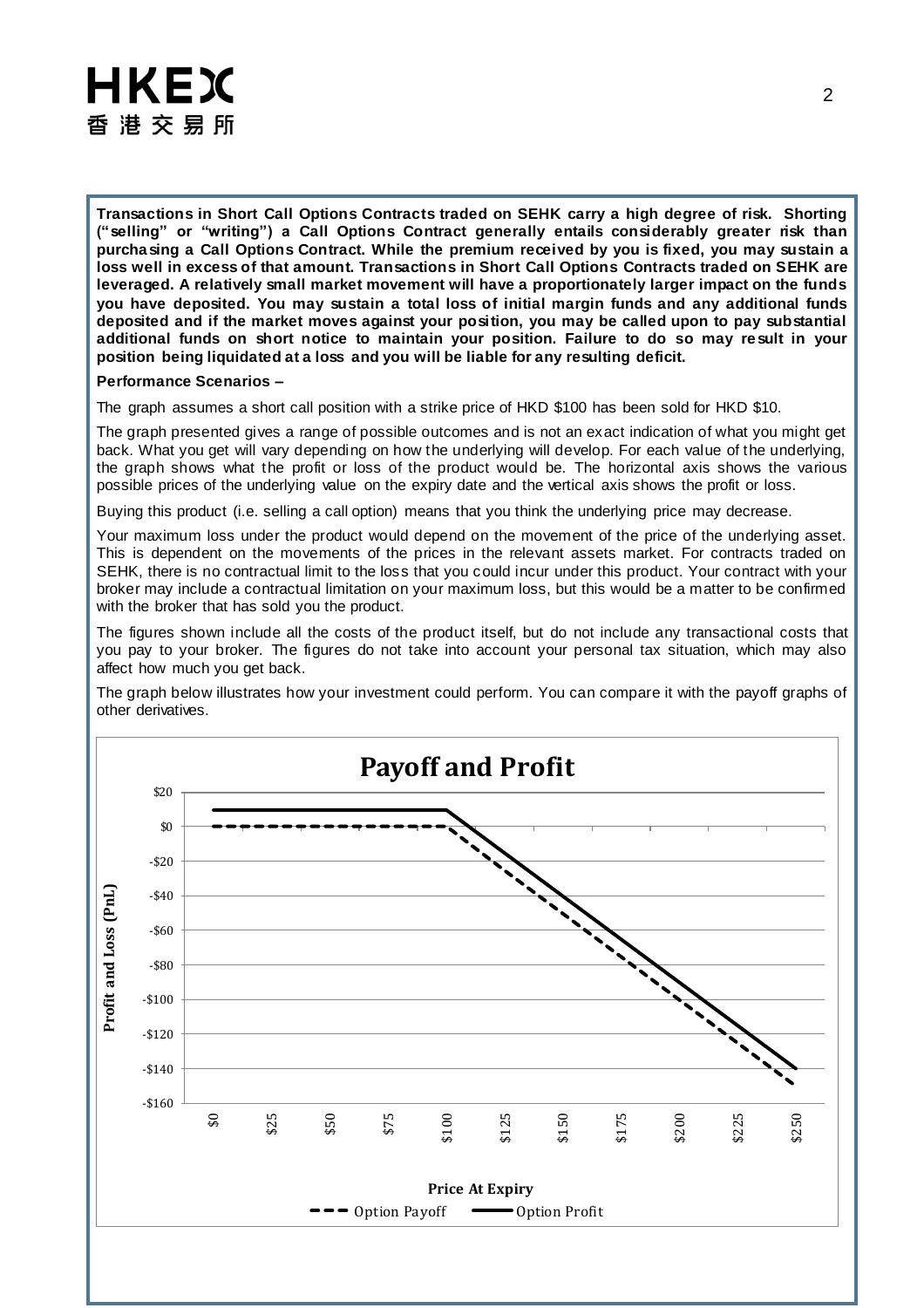# HKEX 香 港 交 易 所

**Transactions in Short Call Options Contracts traded on SEHK carry a high degree of risk. Shorting ("selling" or "writing") a Call Options Contract generally entails considerably greater risk than purchasing a Call Options Contract. While the premium received by you is fixed, you may sustain a loss well in excess of that amount. Transactions in Short Call Options Contracts traded on SEHK are leveraged. A relatively small market movement will have a proportionately larger impact on the funds you have deposited. You may sustain a total loss of initial margin funds and any additional funds deposited and if the market moves against your position, you may be called upon to pay substantial additional funds on short notice to maintain your position. Failure to do so may result in your position being liquidated at a loss and you will be liable for any resulting deficit.** 

#### **Performance Scenarios –**

The graph assumes a short call position with a strike price of HKD \$100 has been sold for HKD \$10.

The graph presented gives a range of possible outcomes and is not an exact indication of what you might get back. What you get will vary depending on how the underlying will develop. For each value of the underlying, the graph shows what the profit or loss of the product would be. The horizontal axis shows the various possible prices of the underlying value on the expiry date and the vertical axis shows the profit or loss.

Buying this product (i.e. selling a call option) means that you think the underlying price may decrease.

Your maximum loss under the product would depend on the movement of the price of the underlying asset. This is dependent on the movements of the prices in the relevant assets market. For contracts traded on SEHK, there is no contractual limit to the loss that you could incur under this product. Your contract with your broker may include a contractual limitation on your maximum loss, but this would be a matter to be confirmed with the broker that has sold you the product.

The figures shown include all the costs of the product itself, but do not include any transactional costs that you pay to your broker. The figures do not take into account your personal tax situation, which may also affect how much you get back.

The graph below illustrates how your investment could perform. You can compare it with the payoff graphs of other derivatives.